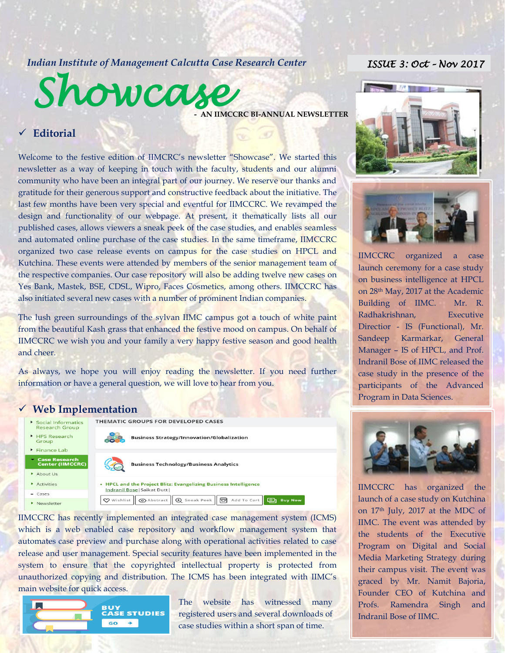## *Indian Institute of Management Calcutta Case Research Center*

# *ISSUE 3: Oct – Nov 2017*



**AN IIMCCRC BI-ANNUAL NEWSLETTER** 

## **Editorial**

Welcome to the festive edition of IIMCRC's newsletter "Showcase". We started this newsletter as a way of keeping in touch with the faculty, students and our alumni community who have been an integral part of our journey. We reserve our thanks and gratitude for their generous support and constructive feedback about the initiative. The last few months have been very special and eventful for IIMCCRC. We revamped the design and functionality of our webpage. At present, it thematically lists all our published cases, allows viewers a sneak peek of the case studies, and enables seamless and automated online purchase of the case studies. In the same timeframe, IIMCCRC organized two case release events on campus for the case studies on HPCL and Kutchina. These events were attended by members of the senior management team of the respective companies. Our case repository will also be adding twelve new cases on Yes Bank, Mastek, BSE, CDSL, Wipro, Faces Cosmetics, among others. IIMCCRC has also initiated several new cases with a number of prominent Indian companies.

The lush green surroundings of the sylvan IIMC campus got a touch of white paint from the beautiful Kash grass that enhanced the festive mood on campus. On behalf of IIMCCRC we wish you and your family a very happy festive season and good health and cheer.

As always, we hope you will enjoy reading the newsletter. If you need further information or have a general question, we will love to hear from you.

#### **Web Implementation**



IIMCCRC has recently implemented an integrated case management system (ICMS) which is a web enabled case repository and workflow management system that automates case preview and purchase along with operational activities related to case release and user management. Special security features have been implemented in the system to ensure that the copyrighted intellectual property is protected from unauthorized copying and distribution. The ICMS has been integrated with IIMC's main website for quick access.



The website has witnessed many registered users and several downloads of case studies within a short span of time.





IIMCCRC organized a case launch ceremony for a case study on business intelligence at HPCL on 28th May, 2017 at the Academic Building of IIMC. Mr. R. Radhakrishnan, Executive Directior - IS (Functional), Mr. Sandeep Karmarkar, General Manager – IS of HPCL, and Prof. Indranil Bose of IIMC released the case study in the presence of the participants of the Advanced Program in Data Sciences.



IIMC. The event was attended by IIMCCRC has organized the launch of a case study on Kutchina on 17th July, 2017 at the MDC of the students of the Executive Program on Digital and Social Media Marketing Strategy during their campus visit. The event was graced by Mr. Namit Bajoria, Founder CEO of Kutchina and Profs. Ramendra Singh and Indranil Bose of IIMC.